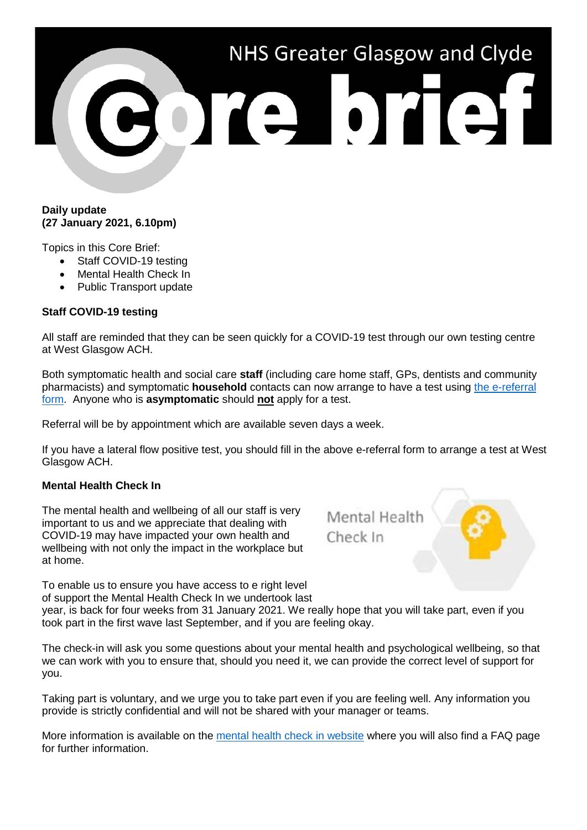# NHS Greater Glasgow and Clyde ore brief

#### **Daily update (27 January 2021, 6.10pm)**

Topics in this Core Brief:

- Staff COVID-19 testing
- Mental Health Check In
- Public Transport update

# **Staff COVID-19 testing**

All staff are reminded that they can be seen quickly for a COVID-19 test through our own testing centre at West Glasgow ACH.

Both symptomatic health and social care **staff** (including care home staff, GPs, dentists and community pharmacists) and symptomatic **household** contacts can now arrange to have a test using [the e-referral](https://forms.office.com/Pages/ResponsePage.aspx?id=veDvEDCgykuAnLXmdF5JmgW9YoY5w-BDlHK7ghonYUBURTJBTFE0UEFBN0I2ODU3S0lFNTJJUjYzTiQlQCN0PWcu&fbclid=IwAR0AMSJxdG23yXuvGn6hl6_6i58IvSNVTVOJiRDZDgmWwRvKuLXnHrU1HJQ)  [form.](https://forms.office.com/Pages/ResponsePage.aspx?id=veDvEDCgykuAnLXmdF5JmgW9YoY5w-BDlHK7ghonYUBURTJBTFE0UEFBN0I2ODU3S0lFNTJJUjYzTiQlQCN0PWcu&fbclid=IwAR0AMSJxdG23yXuvGn6hl6_6i58IvSNVTVOJiRDZDgmWwRvKuLXnHrU1HJQ) Anyone who is **asymptomatic** should **not** apply for a test.

Referral will be by appointment which are available seven days a week.

If you have a lateral flow positive test, you should fill in the above e-referral form to arrange a test at West Glasgow ACH.

### **Mental Health Check In**

The mental health and wellbeing of all our staff is very important to us and we appreciate that dealing with COVID-19 may have impacted your own health and wellbeing with not only the impact in the workplace but at home.

Mental Health Check In

To enable us to ensure you have access to e right level of support the Mental Health Check In we undertook last

year, is back for four weeks from 31 January 2021. We really hope that you will take part, even if you took part in the first wave last September, and if you are feeling okay.

The check-in will ask you some questions about your mental health and psychological wellbeing, so that we can work with you to ensure that, should you need it, we can provide the correct level of support for you.

Taking part is voluntary, and we urge you to take part even if you are feeling well. Any information you provide is strictly confidential and will not be shared with your manager or teams.

More information is available on the [mental health check in website](https://www.nhsggc.org.uk/about-us/professional-support-sites/mental-health-check-in/) where you will also find a FAQ page for further information.